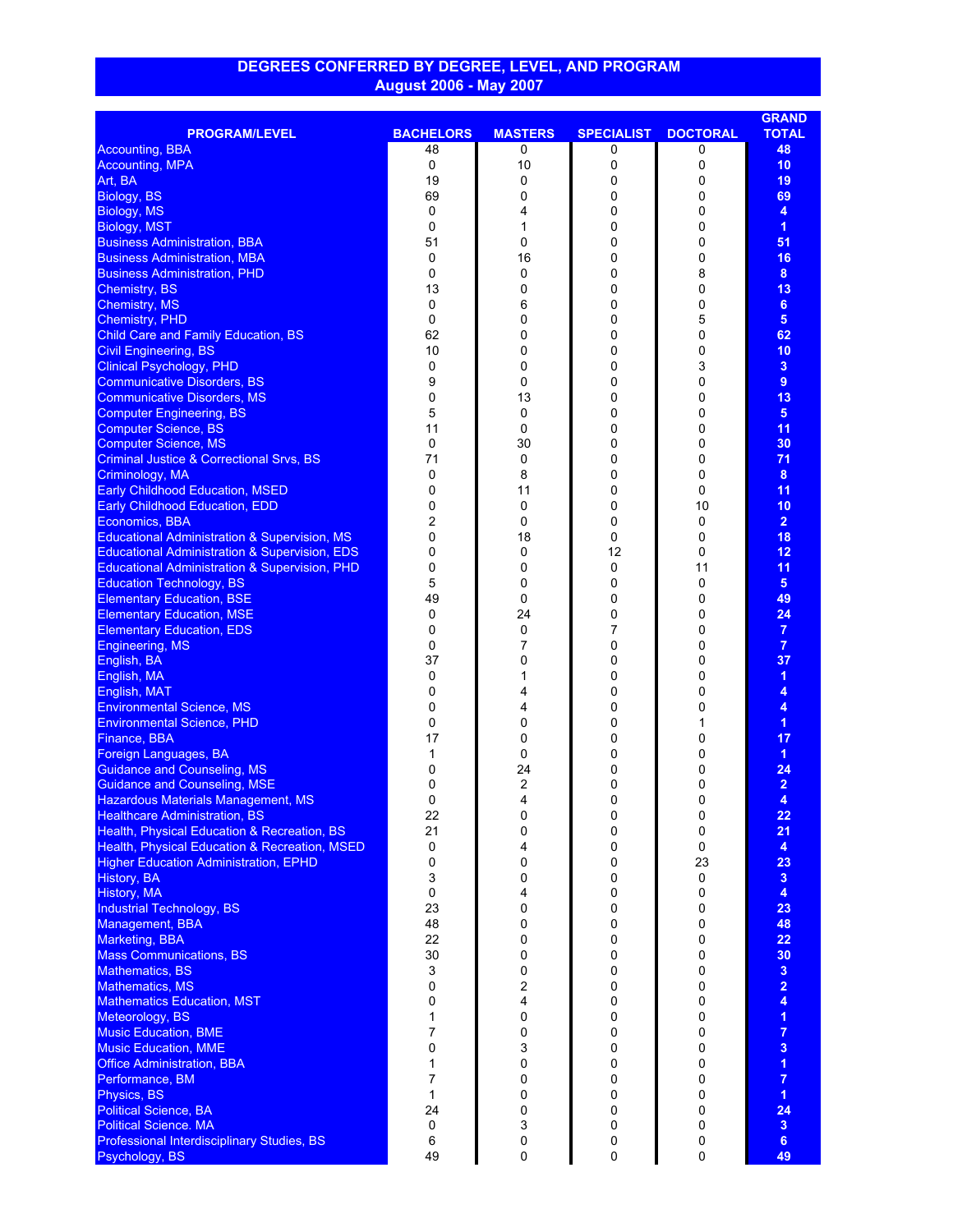## **DEGREES CONFERRED BY DEGREE, LEVEL, AND PROGRAM August 2006 - May 2007**

|                                                                                               |                  |                |                   |                 | <b>GRAND</b>            |
|-----------------------------------------------------------------------------------------------|------------------|----------------|-------------------|-----------------|-------------------------|
| <b>PROGRAM/LEVEL</b>                                                                          | <b>BACHELORS</b> | <b>MASTERS</b> | <b>SPECIALIST</b> | <b>DOCTORAL</b> | <b>TOTAL</b>            |
| <b>Accounting, BBA</b>                                                                        | 48               | 0              | 0                 | 0               | 48                      |
| <b>Accounting, MPA</b>                                                                        | 0                | 10             | 0                 | 0               | 10                      |
| Art, BA                                                                                       | 19               | 0              | 0                 | 0               | 19                      |
| Biology, BS                                                                                   | 69               | 0              | 0                 | 0               | 69                      |
| Biology, MS                                                                                   | 0                | 4              | 0                 | 0               | 4                       |
| <b>Biology, MST</b>                                                                           | 0                | 1              | 0                 | 0               | $\mathbf{1}$            |
| <b>Business Administration, BBA</b>                                                           | 51               | 0              | 0                 | 0               | 51                      |
| <b>Business Administration, MBA</b>                                                           | 0                | 16             | 0                 | 0               | 16                      |
| <b>Business Administration, PHD</b>                                                           | 0                | 0              | 0                 | 8               | 8                       |
| Chemistry, BS                                                                                 | 13               | 0              | 0                 | 0               | 13                      |
| <b>Chemistry, MS</b>                                                                          | 0                | 6              | 0                 | 0               | $6\phantom{a}$          |
| Chemistry, PHD                                                                                | 0                | 0              | 0                 | 5               | 5 <sup>5</sup>          |
| <b>Child Care and Family Education, BS</b>                                                    | 62               | 0              | 0                 | 0               | 62                      |
| <b>Civil Engineering, BS</b>                                                                  | 10               | 0              | 0                 | 0               | 10                      |
| <b>Clinical Psychology, PHD</b>                                                               | 0                | 0              | 0                 | 3               | 3 <sup>2</sup>          |
| <b>Communicative Disorders, BS</b>                                                            | 9                | 0              | 0                 | 0               | 9                       |
| <b>Communicative Disorders, MS</b>                                                            | 0                | 13             | 0                 | 0               | 13                      |
| <b>Computer Engineering, BS</b>                                                               | 5                | 0              | 0                 | 0               | 5 <sup>5</sup>          |
| <b>Computer Science, BS</b>                                                                   | 11               | 0              | 0                 | 0               | 11                      |
| <b>Computer Science, MS</b>                                                                   | 0                | 30             | 0                 | 0               | 30                      |
| <b>Criminal Justice &amp; Correctional Srvs, BS</b>                                           | 71               | 0              | 0                 | 0               | 71                      |
| Criminology, MA                                                                               | 0                | 8              | 0                 | 0               | 8                       |
| <b>Early Childhood Education, MSED</b>                                                        | 0                | 11             | 0                 | 0               | 11                      |
| <b>Early Childhood Education, EDD</b>                                                         | 0                | 0              | 0                 | 10              | 10                      |
| Economics, BBA                                                                                | 2                | 0              | 0                 | 0               | 2 <sup>1</sup>          |
| <b>Educational Administration &amp; Supervision, MS</b>                                       | 0                | 18             | 0                 | 0               | 18                      |
| <b>Educational Administration &amp; Supervision, EDS</b>                                      | 0                | 0              | 12                | 0               | 12                      |
| <b>Educational Administration &amp; Supervision, PHD</b>                                      | 0                | 0              | 0                 | 11              | 11                      |
| <b>Education Technology, BS</b>                                                               | 5                | 0              | 0                 | 0               | 5 <sup>5</sup>          |
| <b>Elementary Education, BSE</b>                                                              | 49               | 0              | 0                 | 0               | 49                      |
| <b>Elementary Education, MSE</b>                                                              | 0                | 24             | 0                 | 0               | 24                      |
| <b>Elementary Education, EDS</b>                                                              | 0                | 0              | 7                 | 0               | $\overline{7}$          |
| Engineering, MS                                                                               | 0                | 7              | 0                 | 0               | $\overline{7}$          |
| English, BA                                                                                   | 37               | 0              | 0                 | 0               | 37                      |
| English, MA                                                                                   | 0                | 1              | 0                 | 0               | $\overline{1}$          |
| English, MAT                                                                                  | 0                | 4              | 0                 | 0               | 4                       |
| <b>Environmental Science, MS</b>                                                              | 0                | 4              | 0                 | 0               | 4                       |
| <b>Environmental Science, PHD</b>                                                             | 0                | 0              | 0                 | 1               | $\overline{1}$          |
| Finance, BBA                                                                                  | 17               | 0              | 0                 | 0               | 17                      |
| Foreign Languages, BA                                                                         | 1                | 0              | 0                 | 0               | $\overline{1}$          |
| <b>Guidance and Counseling, MS</b>                                                            | 0                | 24             | 0                 | 0               | 24                      |
| <b>Guidance and Counseling, MSE</b>                                                           | 0                | 2              | 0                 | 0               | $\overline{2}$          |
| <b>Hazardous Materials Management, MS</b>                                                     | $\Omega$         | 4              | 0                 | 0               | 4                       |
| <b>Healthcare Administration, BS</b>                                                          | 22               | 0              | 0                 | 0               | 22                      |
| Health, Physical Education & Recreation, BS                                                   | 21               | 0              | 0<br>0            | 0<br>0          | 21<br>$\overline{4}$    |
| Health, Physical Education & Recreation, MSED<br><b>Higher Education Administration, EPHD</b> | 0<br>0           | 4<br>0         | 0                 | 23              | 23                      |
| History, BA                                                                                   | 3                | 0              | 0                 | 0               | $\overline{\mathbf{3}}$ |
| History, MA                                                                                   | 0                | 4              | 0                 | 0               | $\overline{4}$          |
| <b>Industrial Technology, BS</b>                                                              | 23               | 0              | $\Omega$          | 0               | 23                      |
| Management, BBA                                                                               | 48               | 0              | 0                 | 0               | 48                      |
| <b>Marketing, BBA</b>                                                                         | 22               | 0              | 0                 | 0               | 22                      |
| <b>Mass Communications, BS</b>                                                                | 30               | 0              | $\Omega$          | 0               | 30                      |
| <b>Mathematics, BS</b>                                                                        | 3                | 0              | 0                 | 0               | $\overline{\mathbf{3}}$ |
| <b>Mathematics, MS</b>                                                                        | 0                | 2              | 0                 | 0               | $\overline{\mathbf{2}}$ |
| <b>Mathematics Education, MST</b>                                                             | 0                | 4              | $\Omega$          | 0               | 4                       |
| Meteorology, BS                                                                               | 1                | 0              | 0                 | 0               | $\overline{1}$          |
| <b>Music Education, BME</b>                                                                   | 7                | 0              | 0                 | 0               | $\overline{7}$          |
| <b>Music Education, MME</b>                                                                   | 0                | 3              | 0                 | 0               | 3                       |
| <b>Office Administration, BBA</b>                                                             | 1                | 0              | 0                 | 0               | $\overline{1}$          |
| Performance, BM                                                                               | 7                | 0              | 0                 | 0               | $\overline{7}$          |
| Physics, BS                                                                                   | 1                | 0              | 0                 | 0               | $\overline{1}$          |
| <b>Political Science, BA</b>                                                                  | 24               | 0              | 0                 | 0               | 24                      |
| <b>Political Science. MA</b>                                                                  | 0                | 3              | 0                 | 0               | $\mathbf{3}$            |
| Professional Interdisciplinary Studies, BS                                                    | 6                | 0              | 0                 | 0               | 6 <sup>1</sup>          |
| Psychology, BS                                                                                | 49               | 0              | 0                 | 0               | 49                      |